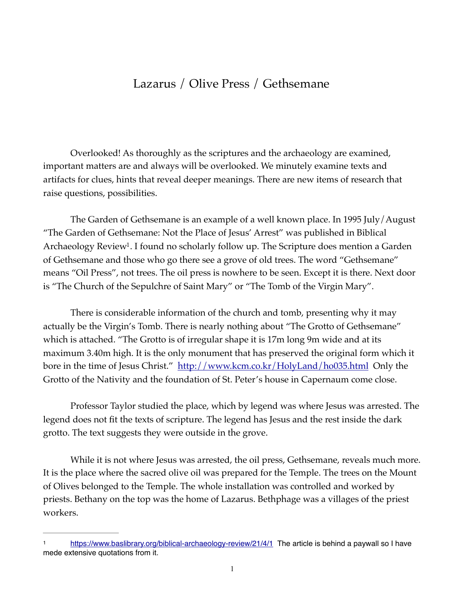## Lazarus / Olive Press / Gethsemane

Overlooked! As thoroughly as the scriptures and the archaeology are examined, important matters are and always will be overlooked. We minutely examine texts and artifacts for clues, hints that reveal deeper meanings. There are new items of research that raise questions, possibilities.

<span id="page-0-1"></span>The Garden of Gethsemane is an example of a well known place. In 1995 July/August "The Garden of Gethsemane: Not the Place of Jesus' Arrest" was published in Biblical Archaeology Review<sup>[1](#page-0-0)</sup>. I found no scholarly follow up. The Scripture does mention a Garden of Gethsemane and those who go there see a grove of old trees. The word "Gethsemane" means "Oil Press", not trees. The oil press is nowhere to be seen. Except it is there. Next door is "The Church of the Sepulchre of Saint Mary" or "The Tomb of the Virgin Mary".

There is considerable information of the church and tomb, presenting why it may actually be the Virgin's Tomb. There is nearly nothing about "The Grotto of Gethsemane" which is attached. "The Grotto is of irregular shape it is 17m long 9m wide and at its maximum 3.40m high. It is the only monument that has preserved the original form which it bore in the time of Jesus Christ." <http://www.kcm.co.kr/HolyLand/ho035.html> Only the Grotto of the Nativity and the foundation of St. Peter's house in Capernaum come close.

Professor Taylor studied the place, which by legend was where Jesus was arrested. The legend does not fit the texts of scripture. The legend has Jesus and the rest inside the dark grotto. The text suggests they were outside in the grove.

While it is not where Jesus was arrested, the oil press, Gethsemane, reveals much more. It is the place where the sacred olive oil was prepared for the Temple. The trees on the Mount of Olives belonged to the Temple. The whole installation was controlled and worked by priests. Bethany on the top was the home of Lazarus. Bethphage was a villages of the priest workers.

<span id="page-0-0"></span><https://www.baslibrary.org/biblical-archaeology-review/21/4/1> The article is behind a paywall so I have [1](#page-0-1) mede extensive quotations from it.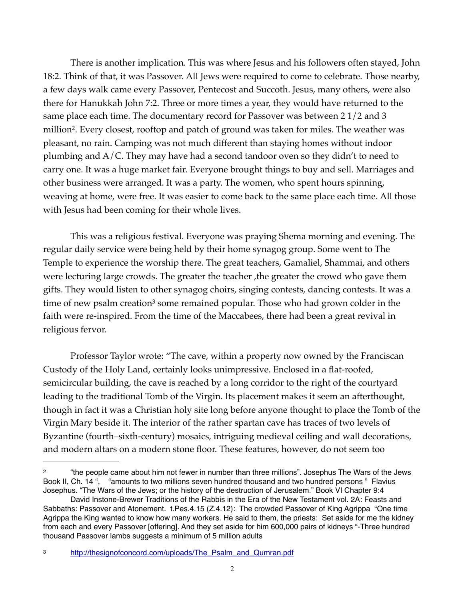<span id="page-1-2"></span>There is another implication. This was where Jesus and his followers often stayed, John 18:2. Think of that, it was Passover. All Jews were required to come to celebrate. Those nearby, a few days walk came every Passover, Pentecost and Succoth. Jesus, many others, were also there for Hanukkah John 7:2. Three or more times a year, they would have returned to the same place each time. The documentary record for Passover was between 2 1/2 and 3 million<sup>[2](#page-1-0)</sup>. Every closest, rooftop and patch of ground was taken for miles. The weather was pleasant, no rain. Camping was not much different than staying homes without indoor plumbing and A/C. They may have had a second tandoor oven so they didn't to need to carry one. It was a huge market fair. Everyone brought things to buy and sell. Marriages and other business were arranged. It was a party. The women, who spent hours spinning, weaving at home, were free. It was easier to come back to the same place each time. All those with Jesus had been coming for their whole lives.

This was a religious festival. Everyone was praying Shema morning and evening. The regular daily service were being held by their home synagog group. Some went to The Temple to experience the worship there. The great teachers, Gamaliel, Shammai, and others were lecturing large crowds. The greater the teacher ,the greater the crowd who gave them gifts. They would listen to other synagog choirs, singing contests, dancing contests. It was a timeof new psalm creation<sup>[3](#page-1-1)</sup> some remained popular. Those who had grown colder in the faith were re-inspired. From the time of the Maccabees, there had been a great revival in religious fervor.

<span id="page-1-3"></span>Professor Taylor wrote: "The cave, within a property now owned by the Franciscan Custody of the Holy Land, certainly looks unimpressive. Enclosed in a flat-roofed, semicircular building, the cave is reached by a long corridor to the right of the courtyard leading to the traditional Tomb of the Virgin. Its placement makes it seem an afterthought, though in fact it was a Christian holy site long before anyone thought to place the Tomb of the Virgin Mary beside it. The interior of the rather spartan cave has traces of two levels of Byzantine (fourth–sixth-century) mosaics, intriguing medieval ceiling and wall decorations, and modern altars on a modern stone floor. These features, however, do not seem too

<span id="page-1-0"></span><sup>&</sup>lt;sup>[2](#page-1-2)</sup> "the people came about him not fewer in number than three millions". Josephus The Wars of the Jews Book II, Ch. 14 ", "amounts to two millions seven hundred thousand and two hundred persons " Flavius Josephus. "The Wars of the Jews; or the history of the destruction of Jerusalem." Book VI Chapter 9:4

David Instone-Brewer Traditions of the Rabbis in the Era of the New Testament vol. 2A: Feasts and Sabbaths: Passover and Atonement. t.Pes.4.15 (Z.4.12): The crowded Passover of King Agrippa "One time Agrippa the King wanted to know how many workers. He said to them, the priests: Set aside for me the kidney from each and every Passover [offering]. And they set aside for him 600,000 pairs of kidneys "-Three hundred thousand Passover lambs suggests a minimum of 5 million adults

<span id="page-1-1"></span><sup>&</sup>lt;sup>[3](#page-1-3)</sup> http://thesignofconcord.com/uploads/The Psalm and Qumran.pdf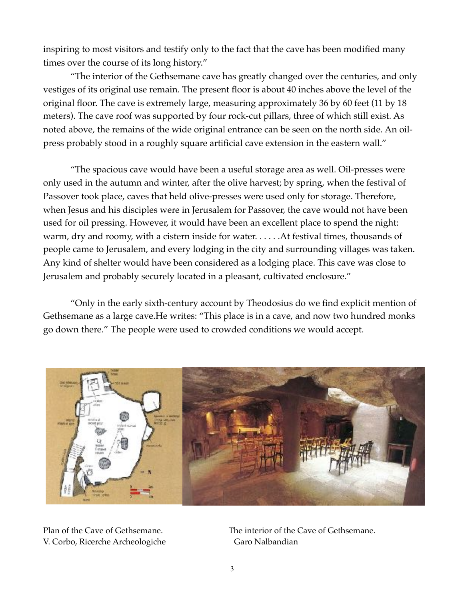inspiring to most visitors and testify only to the fact that the cave has been modified many times over the course of its long history."

"The interior of the Gethsemane cave has greatly changed over the centuries, and only vestiges of its original use remain. The present floor is about 40 inches above the level of the original floor. The cave is extremely large, measuring approximately 36 by 60 feet (11 by 18 meters). The cave roof was supported by four rock-cut pillars, three of which still exist. As noted above, the remains of the wide original entrance can be seen on the north side. An oilpress probably stood in a roughly square artificial cave extension in the eastern wall."

"The spacious cave would have been a useful storage area as well. Oil-presses were only used in the autumn and winter, after the olive harvest; by spring, when the festival of Passover took place, caves that held olive-presses were used only for storage. Therefore, when Jesus and his disciples were in Jerusalem for Passover, the cave would not have been used for oil pressing. However, it would have been an excellent place to spend the night: warm, dry and roomy, with a cistern inside for water. . . . . .At festival times, thousands of people came to Jerusalem, and every lodging in the city and surrounding villages was taken. Any kind of shelter would have been considered as a lodging place. This cave was close to Jerusalem and probably securely located in a pleasant, cultivated enclosure."

"Only in the early sixth-century account by Theodosius do we find explicit mention of Gethsemane as a large cave.He writes: "This place is in a cave, and now two hundred monks go down there." The people were used to crowded conditions we would accept.



V. Corbo, Ricerche Archeologiche Garo Nalbandian

Plan of the Cave of Gethsemane. The interior of the Cave of Gethsemane.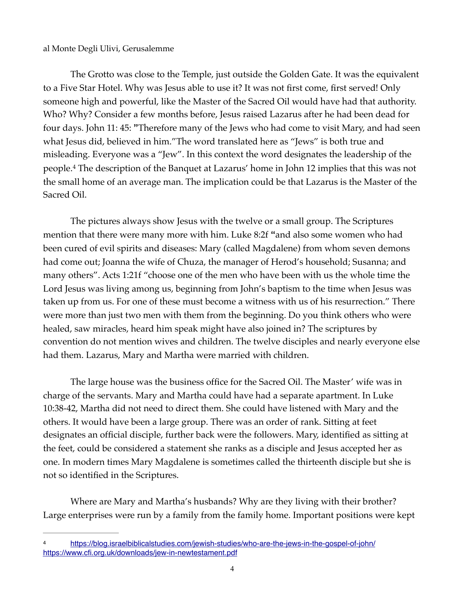## al Monte Degli Ulivi, Gerusalemme

The Grotto was close to the Temple, just outside the Golden Gate. It was the equivalent to a Five Star Hotel. Why was Jesus able to use it? It was not first come, first served! Only someone high and powerful, like the Master of the Sacred Oil would have had that authority. Who? Why? Consider a few months before, Jesus raised Lazarus after he had been dead for four days. John 11: 45: **"**Therefore many of the Jews who had come to visit Mary, and had seen what Jesus did, believed in him."The word translated here as "Jews" is both true and misleading. Everyone was a "Jew". In this context the word designates the leadership of the people.<sup>4</sup>The description of the Banquet at Lazarus' home in John 12 implies that this was not the small home of an average man. The implication could be that Lazarus is the Master of the Sacred Oil.

<span id="page-3-1"></span>The pictures always show Jesus with the twelve or a small group. The Scriptures mention that there were many more with him. Luke 8:2f **"**and also some women who had been cured of evil spirits and diseases: Mary (called Magdalene) from whom seven demons had come out; Joanna the wife of Chuza, the manager of Herod's household; Susanna; and many others". Acts 1:21f "choose one of the men who have been with us the whole time the Lord Jesus was living among us, beginning from John's baptism to the time when Jesus was taken up from us. For one of these must become a witness with us of his resurrection." There were more than just two men with them from the beginning. Do you think others who were healed, saw miracles, heard him speak might have also joined in? The scriptures by convention do not mention wives and children. The twelve disciples and nearly everyone else had them. Lazarus, Mary and Martha were married with children.

The large house was the business office for the Sacred Oil. The Master' wife was in charge of the servants. Mary and Martha could have had a separate apartment. In Luke 10:38-42, Martha did not need to direct them. She could have listened with Mary and the others. It would have been a large group. There was an order of rank. Sitting at feet designates an official disciple, further back were the followers. Mary, identified as sitting at the feet, could be considered a statement she ranks as a disciple and Jesus accepted her as one. In modern times Mary Magdalene is sometimes called the thirteenth disciple but she is not so identified in the Scriptures.

Where are Mary and Martha's husbands? Why are they living with their brother? Large enterprises were run by a family from the family home. Important positions were kept

<span id="page-3-0"></span><https://blog.israelbiblicalstudies.com/jewish-studies/who-are-the-jews-in-the-gospel-of-john/> [4](#page-3-1) <https://www.cfi.org.uk/downloads/jew-in-newtestament.pdf>